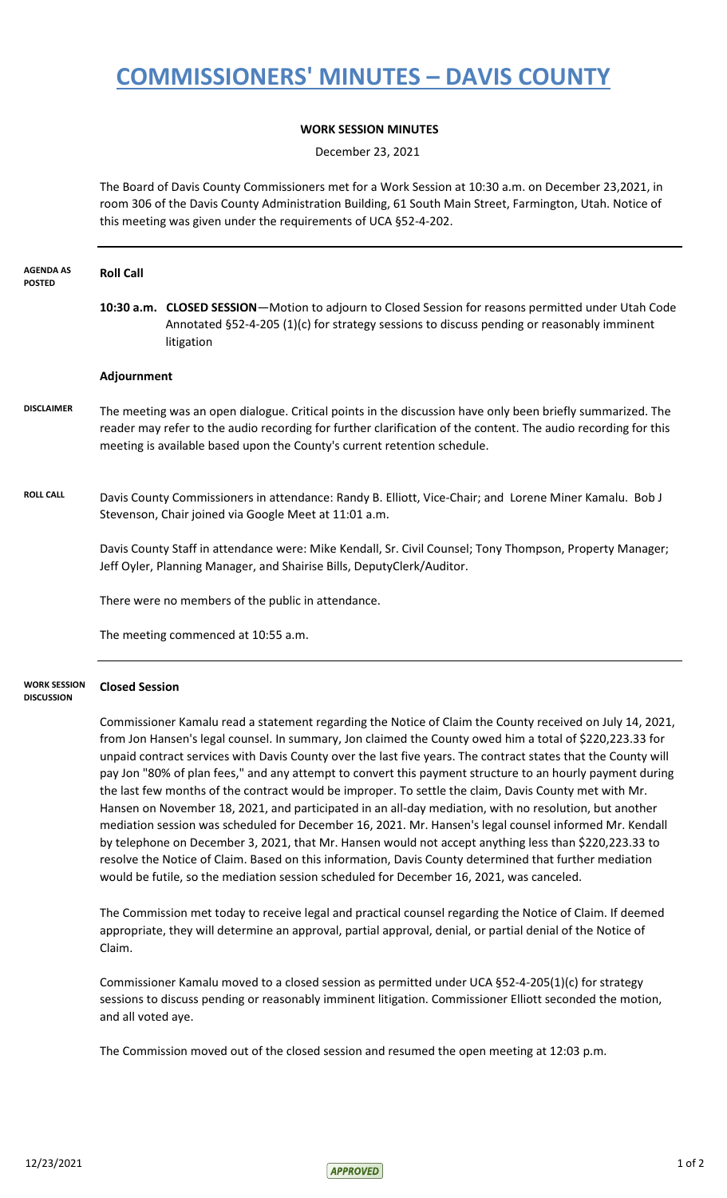## **COMMISSIONERS' MINUTES – DAVIS COUNTY**

## **WORK SESSION MINUTES**

December 23, 2021

The Board of Davis County Commissioners met for a Work Session at 10:30 a.m. on December 23,2021, in room 306 of the Davis County Administration Building, 61 South Main Street, Farmington, Utah. Notice of this meeting was given under the requirements of UCA §52-4-202.

| <b>AGENDA AS</b><br><b>POSTED</b>        | <b>Roll Call</b>                                   |                                                                                                                                                                                                                                                                                                                                       |
|------------------------------------------|----------------------------------------------------|---------------------------------------------------------------------------------------------------------------------------------------------------------------------------------------------------------------------------------------------------------------------------------------------------------------------------------------|
|                                          |                                                    | 10:30 a.m. CLOSED SESSION-Motion to adjourn to Closed Session for reasons permitted under Utah Code<br>Annotated §52-4-205 (1)(c) for strategy sessions to discuss pending or reasonably imminent<br>litigation                                                                                                                       |
|                                          | Adjournment                                        |                                                                                                                                                                                                                                                                                                                                       |
| <b>DISCLAIMER</b>                        |                                                    | The meeting was an open dialogue. Critical points in the discussion have only been briefly summarized. The<br>reader may refer to the audio recording for further clarification of the content. The audio recording for this<br>meeting is available based upon the County's current retention schedule.                              |
| <b>ROLL CALL</b>                         |                                                    | Davis County Commissioners in attendance: Randy B. Elliott, Vice-Chair; and Lorene Miner Kamalu. Bob J<br>Stevenson, Chair joined via Google Meet at 11:01 a.m.                                                                                                                                                                       |
|                                          |                                                    | Davis County Staff in attendance were: Mike Kendall, Sr. Civil Counsel; Tony Thompson, Property Manager;<br>Jeff Oyler, Planning Manager, and Shairise Bills, DeputyClerk/Auditor.                                                                                                                                                    |
|                                          | There were no members of the public in attendance. |                                                                                                                                                                                                                                                                                                                                       |
|                                          |                                                    | The meeting commenced at 10:55 a.m.                                                                                                                                                                                                                                                                                                   |
| <b>WORK SESSION</b><br><b>DISCUSSION</b> | <b>Closed Session</b>                              |                                                                                                                                                                                                                                                                                                                                       |
|                                          |                                                    | Commissioner Kamalu read a statement regarding the Notice of Claim the County received on July 14, 2021,<br>from Jon Hansen's legal counsel. In summary, Jon claimed the County owed him a total of \$220,223.33 for<br>unpaid contract services with Davis County over the last five years. The contract states that the County will |

pay Jon "80% of plan fees," and any attempt to convert this payment structure to an hourly payment during the last few months of the contract would be improper. To settle the claim, Davis County met with Mr. Hansen on November 18, 2021, and participated in an all-day mediation, with no resolution, but another mediation session was scheduled for December 16, 2021. Mr. Hansen's legal counsel informed Mr. Kendall by telephone on December 3, 2021, that Mr. Hansen would not accept anything less than \$220,223.33 to resolve the Notice of Claim. Based on this information, Davis County determined that further mediation would be futile, so the mediation session scheduled for December 16, 2021, was canceled.

The Commission met today to receive legal and practical counsel regarding the Notice of Claim. If deemed appropriate, they will determine an approval, partial approval, denial, or partial denial of the Notice of Claim.

Commissioner Kamalu moved to a closed session as permitted under UCA §52-4-205(1)(c) for strategy sessions to discuss pending or reasonably imminent litigation. Commissioner Elliott seconded the motion, and all voted aye.

The Commission moved out of the closed session and resumed the open meeting at 12:03 p.m.